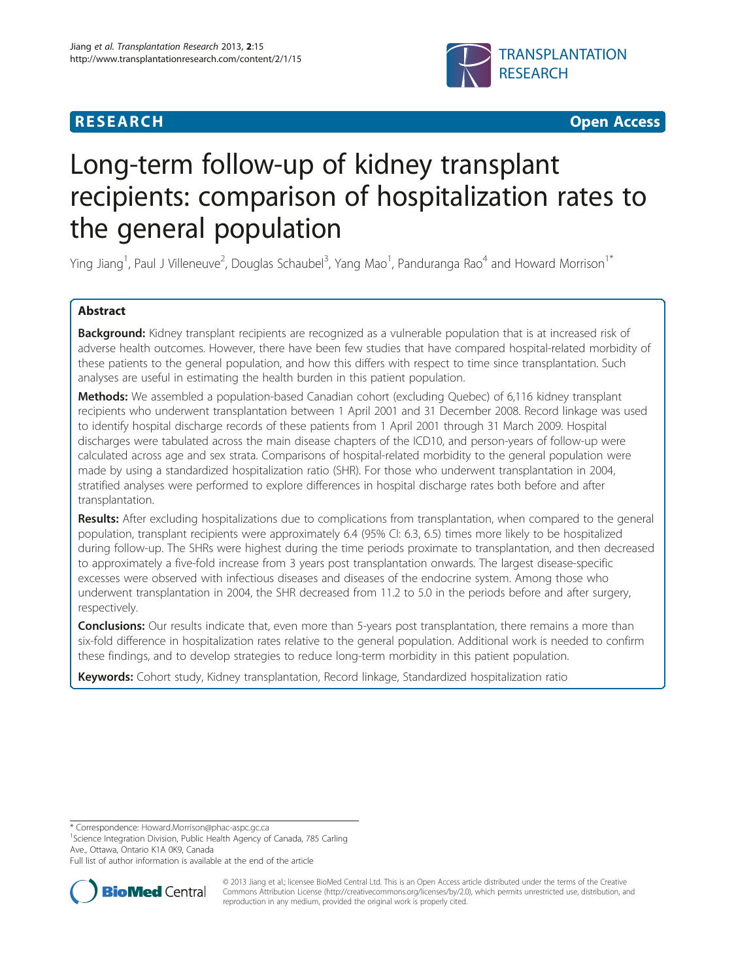# **RESEARCH CHEAR CHEAR CHEAR CHEAR CHEAR CHEAR CHEAR CHEAR CHEAR CHEAR CHEAR CHEAR CHEAR CHEAR CHEAR CHEAR CHEAR**



# Long-term follow-up of kidney transplant recipients: comparison of hospitalization rates to the general population

Ying Jiang<sup>1</sup>, Paul J Villeneuve<sup>2</sup>, Douglas Schaubel<sup>3</sup>, Yang Mao<sup>1</sup>, Panduranga Rao<sup>4</sup> and Howard Morrison<sup>1\*</sup>

# Abstract

Background: Kidney transplant recipients are recognized as a vulnerable population that is at increased risk of adverse health outcomes. However, there have been few studies that have compared hospital-related morbidity of these patients to the general population, and how this differs with respect to time since transplantation. Such analyses are useful in estimating the health burden in this patient population.

Methods: We assembled a population-based Canadian cohort (excluding Quebec) of 6,116 kidney transplant recipients who underwent transplantation between 1 April 2001 and 31 December 2008. Record linkage was used to identify hospital discharge records of these patients from 1 April 2001 through 31 March 2009. Hospital discharges were tabulated across the main disease chapters of the ICD10, and person-years of follow-up were calculated across age and sex strata. Comparisons of hospital-related morbidity to the general population were made by using a standardized hospitalization ratio (SHR). For those who underwent transplantation in 2004, stratified analyses were performed to explore differences in hospital discharge rates both before and after transplantation.

Results: After excluding hospitalizations due to complications from transplantation, when compared to the general population, transplant recipients were approximately 6.4 (95% CI: 6.3, 6.5) times more likely to be hospitalized during follow-up. The SHRs were highest during the time periods proximate to transplantation, and then decreased to approximately a five-fold increase from 3 years post transplantation onwards. The largest disease-specific excesses were observed with infectious diseases and diseases of the endocrine system. Among those who underwent transplantation in 2004, the SHR decreased from 11.2 to 5.0 in the periods before and after surgery, respectively.

**Conclusions:** Our results indicate that, even more than 5-years post transplantation, there remains a more than six-fold difference in hospitalization rates relative to the general population. Additional work is needed to confirm these findings, and to develop strategies to reduce long-term morbidity in this patient population.

Keywords: Cohort study, Kidney transplantation, Record linkage, Standardized hospitalization ratio

\* Correspondence: [Howard.Morrison@phac-aspc.gc.ca](mailto:Howard.Morrison@phac-aspc.gc.ca) <sup>1</sup>

<sup>1</sup>Science Integration Division, Public Health Agency of Canada, 785 Carling Ave., Ottawa, Ontario K1A 0K9, Canada

Full list of author information is available at the end of the article



© 2013 Jiang et al.; licensee BioMed Central Ltd. This is an Open Access article distributed under the terms of the Creative Commons Attribution License [\(http://creativecommons.org/licenses/by/2.0\)](http://creativecommons.org/licenses/by/2.0), which permits unrestricted use, distribution, and reproduction in any medium, provided the original work is properly cited.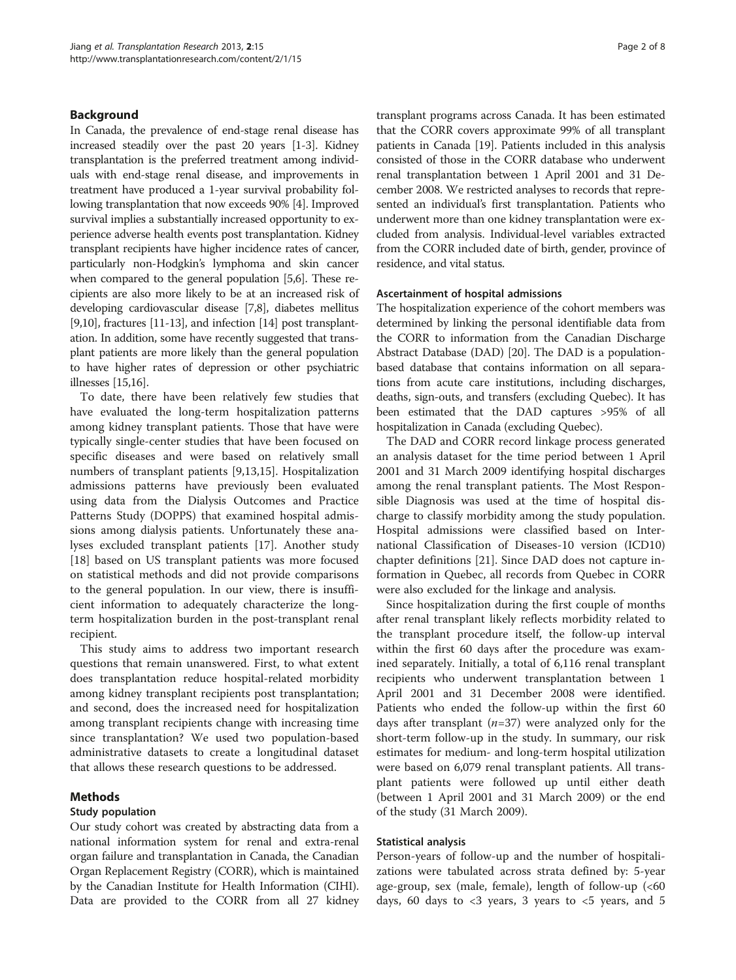## Background

In Canada, the prevalence of end-stage renal disease has increased steadily over the past 20 years [\[1](#page-7-0)-[3](#page-7-0)]. Kidney transplantation is the preferred treatment among individuals with end-stage renal disease, and improvements in treatment have produced a 1-year survival probability following transplantation that now exceeds 90% [[4](#page-7-0)]. Improved survival implies a substantially increased opportunity to experience adverse health events post transplantation. Kidney transplant recipients have higher incidence rates of cancer, particularly non-Hodgkin's lymphoma and skin cancer when compared to the general population [\[5,6\]](#page-7-0). These recipients are also more likely to be at an increased risk of developing cardiovascular disease [\[7,8](#page-7-0)], diabetes mellitus [[9,10\]](#page-7-0), fractures [\[11-13\]](#page-7-0), and infection [\[14](#page-7-0)] post transplantation. In addition, some have recently suggested that transplant patients are more likely than the general population to have higher rates of depression or other psychiatric illnesses [\[15,16](#page-7-0)].

To date, there have been relatively few studies that have evaluated the long-term hospitalization patterns among kidney transplant patients. Those that have were typically single-center studies that have been focused on specific diseases and were based on relatively small numbers of transplant patients [[9,13,15\]](#page-7-0). Hospitalization admissions patterns have previously been evaluated using data from the Dialysis Outcomes and Practice Patterns Study (DOPPS) that examined hospital admissions among dialysis patients. Unfortunately these analyses excluded transplant patients [\[17\]](#page-7-0). Another study [[18\]](#page-7-0) based on US transplant patients was more focused on statistical methods and did not provide comparisons to the general population. In our view, there is insufficient information to adequately characterize the longterm hospitalization burden in the post-transplant renal recipient.

This study aims to address two important research questions that remain unanswered. First, to what extent does transplantation reduce hospital-related morbidity among kidney transplant recipients post transplantation; and second, does the increased need for hospitalization among transplant recipients change with increasing time since transplantation? We used two population-based administrative datasets to create a longitudinal dataset that allows these research questions to be addressed.

## Methods

## Study population

Our study cohort was created by abstracting data from a national information system for renal and extra-renal organ failure and transplantation in Canada, the Canadian Organ Replacement Registry (CORR), which is maintained by the Canadian Institute for Health Information (CIHI). Data are provided to the CORR from all 27 kidney transplant programs across Canada. It has been estimated that the CORR covers approximate 99% of all transplant patients in Canada [\[19](#page-7-0)]. Patients included in this analysis consisted of those in the CORR database who underwent renal transplantation between 1 April 2001 and 31 December 2008. We restricted analyses to records that represented an individual's first transplantation. Patients who underwent more than one kidney transplantation were excluded from analysis. Individual-level variables extracted from the CORR included date of birth, gender, province of residence, and vital status.

#### Ascertainment of hospital admissions

The hospitalization experience of the cohort members was determined by linking the personal identifiable data from the CORR to information from the Canadian Discharge Abstract Database (DAD) [\[20\]](#page-7-0). The DAD is a populationbased database that contains information on all separations from acute care institutions, including discharges, deaths, sign-outs, and transfers (excluding Quebec). It has been estimated that the DAD captures >95% of all hospitalization in Canada (excluding Quebec).

The DAD and CORR record linkage process generated an analysis dataset for the time period between 1 April 2001 and 31 March 2009 identifying hospital discharges among the renal transplant patients. The Most Responsible Diagnosis was used at the time of hospital discharge to classify morbidity among the study population. Hospital admissions were classified based on International Classification of Diseases-10 version (ICD10) chapter definitions [[21](#page-7-0)]. Since DAD does not capture information in Quebec, all records from Quebec in CORR were also excluded for the linkage and analysis.

Since hospitalization during the first couple of months after renal transplant likely reflects morbidity related to the transplant procedure itself, the follow-up interval within the first 60 days after the procedure was examined separately. Initially, a total of 6,116 renal transplant recipients who underwent transplantation between 1 April 2001 and 31 December 2008 were identified. Patients who ended the follow-up within the first 60 days after transplant  $(n=37)$  were analyzed only for the short-term follow-up in the study. In summary, our risk estimates for medium- and long-term hospital utilization were based on 6,079 renal transplant patients. All transplant patients were followed up until either death (between 1 April 2001 and 31 March 2009) or the end of the study (31 March 2009).

#### Statistical analysis

Person-years of follow-up and the number of hospitalizations were tabulated across strata defined by: 5-year age-group, sex (male, female), length of follow-up (<60 days, 60 days to  $<$ 3 years, 3 years to  $<$ 5 years, and 5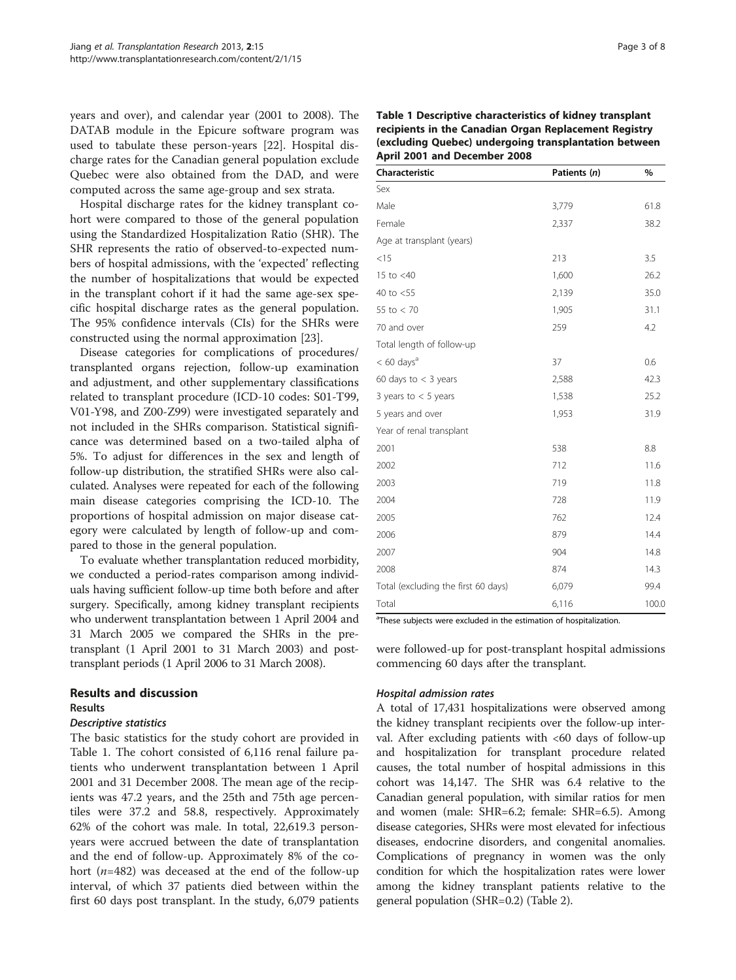years and over), and calendar year (2001 to 2008). The DATAB module in the Epicure software program was used to tabulate these person-years [\[22](#page-7-0)]. Hospital discharge rates for the Canadian general population exclude Quebec were also obtained from the DAD, and were computed across the same age-group and sex strata.

Hospital discharge rates for the kidney transplant cohort were compared to those of the general population using the Standardized Hospitalization Ratio (SHR). The SHR represents the ratio of observed-to-expected numbers of hospital admissions, with the 'expected' reflecting the number of hospitalizations that would be expected in the transplant cohort if it had the same age-sex specific hospital discharge rates as the general population. The 95% confidence intervals (CIs) for the SHRs were constructed using the normal approximation [\[23](#page-7-0)].

Disease categories for complications of procedures/ transplanted organs rejection, follow-up examination and adjustment, and other supplementary classifications related to transplant procedure (ICD-10 codes: S01-T99, V01-Y98, and Z00-Z99) were investigated separately and not included in the SHRs comparison. Statistical significance was determined based on a two-tailed alpha of 5%. To adjust for differences in the sex and length of follow-up distribution, the stratified SHRs were also calculated. Analyses were repeated for each of the following main disease categories comprising the ICD-10. The proportions of hospital admission on major disease category were calculated by length of follow-up and compared to those in the general population.

To evaluate whether transplantation reduced morbidity, we conducted a period-rates comparison among individuals having sufficient follow-up time both before and after surgery. Specifically, among kidney transplant recipients who underwent transplantation between 1 April 2004 and 31 March 2005 we compared the SHRs in the pretransplant (1 April 2001 to 31 March 2003) and posttransplant periods (1 April 2006 to 31 March 2008).

# Results and discussion

# Results

# Descriptive statistics

The basic statistics for the study cohort are provided in Table 1. The cohort consisted of 6,116 renal failure patients who underwent transplantation between 1 April 2001 and 31 December 2008. The mean age of the recipients was 47.2 years, and the 25th and 75th age percentiles were 37.2 and 58.8, respectively. Approximately 62% of the cohort was male. In total, 22,619.3 personyears were accrued between the date of transplantation and the end of follow-up. Approximately 8% of the cohort ( $n=482$ ) was deceased at the end of the follow-up interval, of which 37 patients died between within the first 60 days post transplant. In the study, 6,079 patients

| Characteristic                      | Patients (n) | %     |  |
|-------------------------------------|--------------|-------|--|
| Sex                                 |              |       |  |
| Male                                | 3,779        | 61.8  |  |
| Female                              | 2,337        | 38.2  |  |
| Age at transplant (years)           |              |       |  |
| $<$ 15                              | 213          | 3.5   |  |
| 15 to $<$ 40                        | 1,600        | 26.2  |  |
| 40 to $<$ 55                        | 2,139        | 35.0  |  |
| 55 to $< 70$                        | 1,905        | 31.1  |  |
| 70 and over                         | 259          | 4.2   |  |
| Total length of follow-up           |              |       |  |
| $< 60 \text{ days}^a$               | 37           | 0.6   |  |
| 60 days to $<$ 3 years              | 2,588        | 42.3  |  |
| 3 years to $<$ 5 years              | 1,538        | 25.2  |  |
| 5 years and over                    | 1,953        | 31.9  |  |
| Year of renal transplant            |              |       |  |
| 2001                                | 538          | 8.8   |  |
| 2002                                | 712          | 11.6  |  |
| 2003                                | 719          | 11.8  |  |
| 2004                                | 728          | 11.9  |  |
| 2005                                | 762          | 12.4  |  |
| 2006                                | 879          | 14.4  |  |
| 2007                                | 904          | 14.8  |  |
| 2008                                | 874          | 14.3  |  |
| Total (excluding the first 60 days) | 6,079        | 99.4  |  |
| Total                               | 6,116        | 100.0 |  |

Table 1 Descriptive characteristics of kidney transplant recipients in the Canadian Organ Replacement Registry (excluding Quebec) undergoing transplantation between April 2001 and December 2008

<sup>a</sup>These subjects were excluded in the estimation of hospitalization.

were followed-up for post-transplant hospital admissions commencing 60 days after the transplant.

# Hospital admission rates

A total of 17,431 hospitalizations were observed among the kidney transplant recipients over the follow-up interval. After excluding patients with <60 days of follow-up and hospitalization for transplant procedure related causes, the total number of hospital admissions in this cohort was 14,147. The SHR was 6.4 relative to the Canadian general population, with similar ratios for men and women (male: SHR=6.2; female: SHR=6.5). Among disease categories, SHRs were most elevated for infectious diseases, endocrine disorders, and congenital anomalies. Complications of pregnancy in women was the only condition for which the hospitalization rates were lower among the kidney transplant patients relative to the general population (SHR=0.2) (Table [2\)](#page-3-0).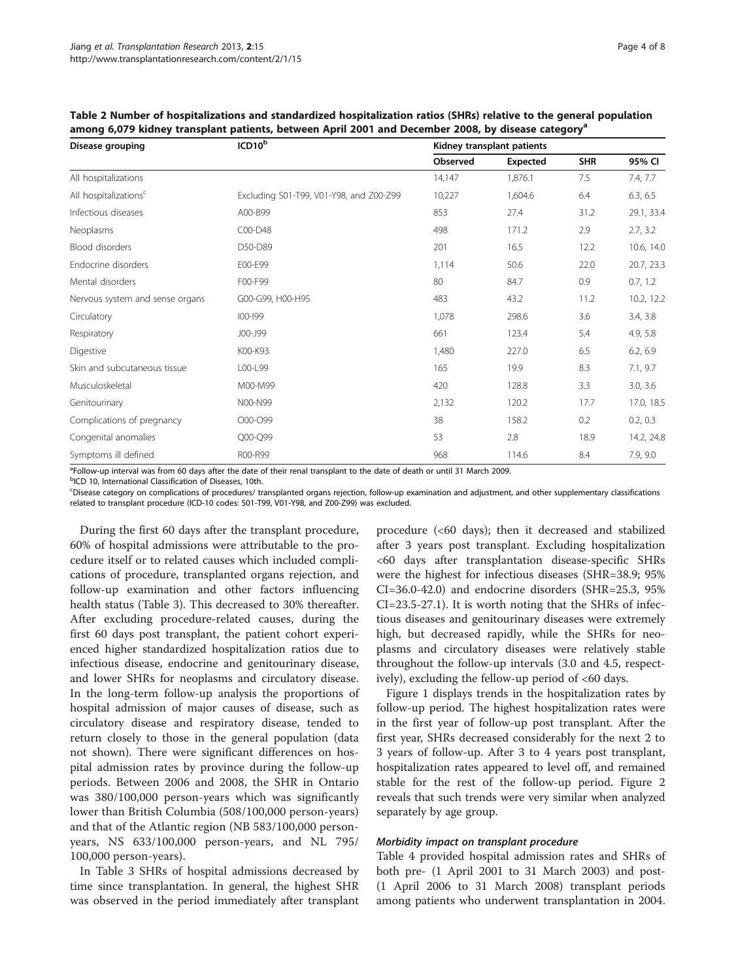| Disease grouping                  | ICD10 <sup>b</sup>                      |          | Kidney transplant patients |            |            |  |
|-----------------------------------|-----------------------------------------|----------|----------------------------|------------|------------|--|
|                                   |                                         | Observed | Expected                   | <b>SHR</b> | 95% CI     |  |
| All hospitalizations              |                                         | 14,147   | 1,876.1                    | 7.5        | 7.4, 7.7   |  |
| All hospitalizations <sup>c</sup> | Excluding S01-T99, V01-Y98, and Z00-Z99 | 10,227   | 1,604.6                    | 6.4        | 6.3, 6.5   |  |
| Infectious diseases               | A00-B99                                 | 853      | 27.4                       | 31.2       | 29.1, 33.4 |  |
| Neoplasms                         | C00-D48                                 | 498      | 171.2                      | 2.9        | 2.7, 3.2   |  |
| Blood disorders                   | D50-D89                                 | 201      | 16.5                       | 12.2       | 10.6, 14.0 |  |
| Endocrine disorders               | E00-E99                                 | 1,114    | 50.6                       | 22.0       | 20.7, 23.3 |  |
| Mental disorders                  | F00-F99                                 | 80       | 84.7                       | 0.9        | 0.7, 1.2   |  |
| Nervous system and sense organs   | G00-G99, H00-H95                        | 483      | 43.2                       | 11.2       | 10.2, 12.2 |  |
| Circulatory                       | $100 - 199$                             | 1,078    | 298.6                      | 3.6        | 3.4, 3.8   |  |
| Respiratory                       | J00-J99                                 | 661      | 123.4                      | 5.4        | 4.9, 5.8   |  |
| Digestive                         | K00-K93                                 | 1,480    | 227.0                      | 6.5        | 6.2, 6.9   |  |
| Skin and subcutaneous tissue      | L00-L99                                 | 165      | 19.9                       | 8.3        | 7.1, 9.7   |  |
| Musculoskeletal                   | M00-M99                                 | 420      | 128.8                      | 3.3        | 3.0, 3.6   |  |
| Genitourinary                     | N00-N99                                 | 2,132    | 120.2                      | 17.7       | 17.0, 18.5 |  |
| Complications of pregnancy        | O00-O99                                 | 38       | 158.2                      | 0.2        | 0.2, 0.3   |  |
| Congenital anomalies              | Q00-Q99                                 | 53       | 2.8                        | 18.9       | 14.2, 24.8 |  |
| Symptoms ill defined              | R00-R99                                 | 968      | 114.6                      | 8.4        | 7.9, 9.0   |  |

<span id="page-3-0"></span>Table 2 Number of hospitalizations and standardized hospitalization ratios (SHRs) relative to the general population among 6,079 kidney transplant patients, between April 2001 and December 2008, by disease category<sup>a</sup>

a Follow-up interval was from 60 days after the date of their renal transplant to the date of death or until 31 March 2009.

<sup>b</sup>ICD 10, International Classification of Diseases, 10th.

c Disease category on complications of procedures/ transplanted organs rejection, follow-up examination and adjustment, and other supplementary classifications related to transplant procedure (ICD-10 codes: S01-T99, V01-Y98, and Z00-Z99) was excluded.

During the first 60 days after the transplant procedure, 60% of hospital admissions were attributable to the procedure itself or to related causes which included complications of procedure, transplanted organs rejection, and follow-up examination and other factors influencing health status (Table [3\)](#page-4-0). This decreased to 30% thereafter. After excluding procedure-related causes, during the first 60 days post transplant, the patient cohort experienced higher standardized hospitalization ratios due to infectious disease, endocrine and genitourinary disease, and lower SHRs for neoplasms and circulatory disease. In the long-term follow-up analysis the proportions of hospital admission of major causes of disease, such as circulatory disease and respiratory disease, tended to return closely to those in the general population (data not shown). There were significant differences on hospital admission rates by province during the follow-up periods. Between 2006 and 2008, the SHR in Ontario was 380/100,000 person-years which was significantly lower than British Columbia (508/100,000 person-years) and that of the Atlantic region (NB 583/100,000 personyears, NS 633/100,000 person-years, and NL 795/ 100,000 person-years).

In Table [3](#page-4-0) SHRs of hospital admissions decreased by time since transplantation. In general, the highest SHR was observed in the period immediately after transplant

procedure (<60 days); then it decreased and stabilized after 3 years post transplant. Excluding hospitalization <60 days after transplantation disease-specific SHRs were the highest for infectious diseases (SHR=38.9; 95% CI=36.0-42.0) and endocrine disorders (SHR=25.3, 95% CI=23.5-27.1). It is worth noting that the SHRs of infectious diseases and genitourinary diseases were extremely high, but decreased rapidly, while the SHRs for neoplasms and circulatory diseases were relatively stable throughout the follow-up intervals (3.0 and 4.5, respectively), excluding the fellow-up period of <60 days.

Figure [1](#page-4-0) displays trends in the hospitalization rates by follow-up period. The highest hospitalization rates were in the first year of follow-up post transplant. After the first year, SHRs decreased considerably for the next 2 to 3 years of follow-up. After 3 to 4 years post transplant, hospitalization rates appeared to level off, and remained stable for the rest of the follow-up period. Figure [2](#page-5-0) reveals that such trends were very similar when analyzed separately by age group.

## Morbidity impact on transplant procedure

Table [4](#page-5-0) provided hospital admission rates and SHRs of both pre- (1 April 2001 to 31 March 2003) and post- (1 April 2006 to 31 March 2008) transplant periods among patients who underwent transplantation in 2004.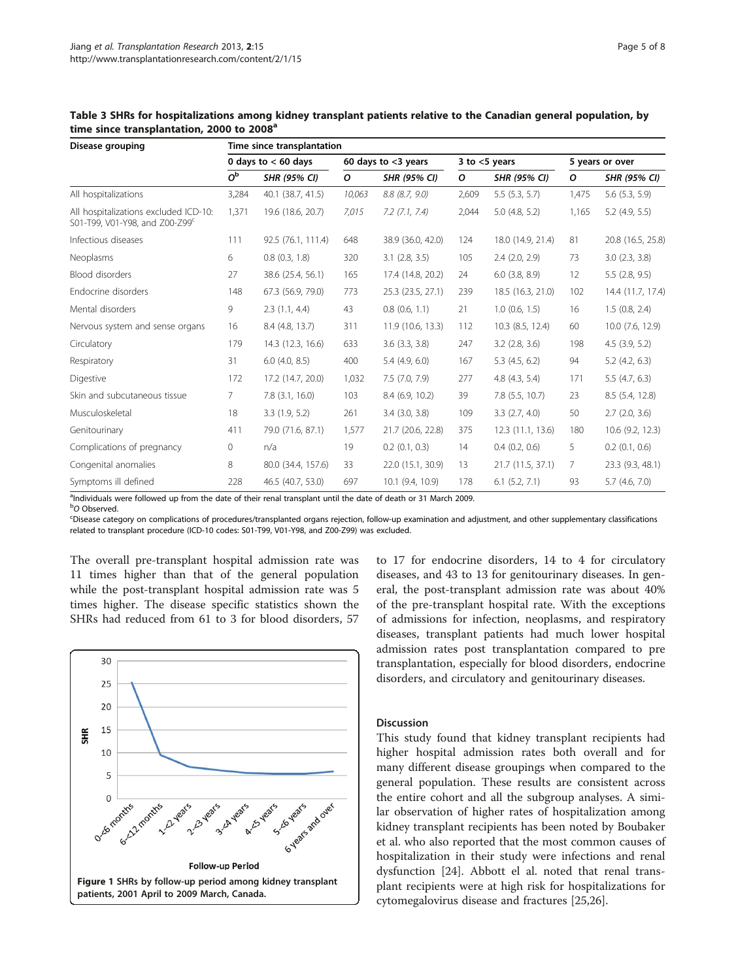| Disease grouping                                                                    | Time since transplantation |                     |                        |                     |                  |                     |                 |                     |  |
|-------------------------------------------------------------------------------------|----------------------------|---------------------|------------------------|---------------------|------------------|---------------------|-----------------|---------------------|--|
|                                                                                     | 0 days to $< 60$ days      |                     | 60 days to $<$ 3 years |                     | 3 to $<$ 5 years |                     | 5 years or over |                     |  |
|                                                                                     | $O^{\rm b}$                | <b>SHR (95% CI)</b> | 0                      | <b>SHR (95% CI)</b> | $\mathcal{O}$    | <b>SHR (95% CI)</b> | $\mathcal{O}$   | <b>SHR (95% CI)</b> |  |
| All hospitalizations                                                                | 3,284                      | 40.1 (38.7, 41.5)   | 10,063                 | $8.8$ $(8.7, 9.0)$  | 2,609            | 5.5(5.3, 5.7)       | 1,475           | $5.6$ $(5.3, 5.9)$  |  |
| All hospitalizations excluded ICD-10:<br>S01-T99, V01-Y98, and Z00-Z99 <sup>c</sup> | 1,371                      | 19.6 (18.6, 20.7)   | 7,015                  | $7.2$ $(7.1, 7.4)$  | 2,044            | $5.0$ (4.8, 5.2)    | 1,165           | $5.2$ (4.9, 5.5)    |  |
| Infectious diseases                                                                 | 111                        | 92.5 (76.1, 111.4)  | 648                    | 38.9 (36.0, 42.0)   | 124              | 18.0 (14.9, 21.4)   | 81              | 20.8 (16.5, 25.8)   |  |
| Neoplasms                                                                           | 6                          | $0.8$ $(0.3, 1.8)$  | 320                    | $3.1$ $(2.8, 3.5)$  | 105              | $2.4$ (2.0, 2.9)    | 73              | 3.0(2.3, 3.8)       |  |
| <b>Blood disorders</b>                                                              | 27                         | 38.6 (25.4, 56.1)   | 165                    | 17.4 (14.8, 20.2)   | 24               | $6.0$ (3.8, 8.9)    | 12              | 5.5(2.8, 9.5)       |  |
| Endocrine disorders                                                                 | 148                        | 67.3 (56.9, 79.0)   | 773                    | 25.3 (23.5, 27.1)   | 239              | 18.5 (16.3, 21.0)   | 102             | 14.4 (11.7, 17.4)   |  |
| Mental disorders                                                                    | 9                          | 2.3(1.1, 4.4)       | 43                     | 0.8(0.6, 1.1)       | 21               | $1.0$ (0.6, 1.5)    | 16              | 1.5(0.8, 2.4)       |  |
| Nervous system and sense organs                                                     | 16                         | 8.4 (4.8, 13.7)     | 311                    | 11.9 (10.6, 13.3)   | 112              | 10.3 (8.5, 12.4)    | 60              | 10.0 (7.6, 12.9)    |  |
| Circulatory                                                                         | 179                        | 14.3 (12.3, 16.6)   | 633                    | $3.6$ $(3.3, 3.8)$  | 247              | $3.2$ (2.8, 3.6)    | 198             | $4.5$ (3.9, 5.2)    |  |
| Respiratory                                                                         | 31                         | $6.0$ $(4.0, 8.5)$  | 400                    | $5.4$ (4.9, 6.0)    | 167              | $5.3$ (4.5, 6.2)    | 94              | $5.2$ (4.2, 6.3)    |  |
| Digestive                                                                           | 172                        | 17.2 (14.7, 20.0)   | 1,032                  | 7.5 (7.0, 7.9)      | 277              | 4.8 (4.3, 5.4)      | 171             | 5.5(4.7, 6.3)       |  |
| Skin and subcutaneous tissue                                                        | 7                          | $7.8$ $(3.1, 16.0)$ | 103                    | 8.4 (6.9, 10.2)     | 39               | 7.8 (5.5, 10.7)     | 23              | 8.5 (5.4, 12.8)     |  |
| Musculoskeletal                                                                     | 18                         | 3.3(1.9, 5.2)       | 261                    | $3.4$ $(3.0, 3.8)$  | 109              | 3.3(2.7, 4.0)       | 50              | $2.7$ (2.0, 3.6)    |  |
| Genitourinary                                                                       | 411                        | 79.0 (71.6, 87.1)   | 1,577                  | 21.7 (20.6, 22.8)   | 375              | 12.3 (11.1, 13.6)   | 180             | 10.6 (9.2, 12.3)    |  |
| Complications of pregnancy                                                          | 0                          | n/a                 | 19                     | $0.2$ (0.1, 0.3)    | 14               | $0.4$ $(0.2, 0.6)$  | 5               | $0.2$ (0.1, 0.6)    |  |
| Congenital anomalies                                                                | 8                          | 80.0 (34.4, 157.6)  | 33                     | 22.0 (15.1, 30.9)   | 13               | 21.7 (11.5, 37.1)   | 7               | 23.3 (9.3, 48.1)    |  |
| Symptoms ill defined                                                                | 228                        | 46.5 (40.7, 53.0)   | 697                    | 10.1 (9.4, 10.9)    | 178              | $6.1$ $(5.2, 7.1)$  | 93              | 5.7(4.6, 7.0)       |  |

<span id="page-4-0"></span>Table 3 SHRs for hospitalizations among kidney transplant patients relative to the Canadian general population, by time since transplantation, 2000 to 2008<sup>a</sup>

<sup>a</sup>Individuals were followed up from the date of their renal transplant until the date of death or 31 March 2009.

<sup>b</sup>O Observed.

<sup>o</sup>O Observed.<br><sup>c</sup>Disease category on complications of procedures/transplanted organs rejection, follow-up examination and adjustment, and other supplementary classifications related to transplant procedure (ICD-10 codes: S01-T99, V01-Y98, and Z00-Z99) was excluded.

The overall pre-transplant hospital admission rate was 11 times higher than that of the general population while the post-transplant hospital admission rate was 5 times higher. The disease specific statistics shown the SHRs had reduced from 61 to 3 for blood disorders, 57



to 17 for endocrine disorders, 14 to 4 for circulatory diseases, and 43 to 13 for genitourinary diseases. In general, the post-transplant admission rate was about 40% of the pre-transplant hospital rate. With the exceptions of admissions for infection, neoplasms, and respiratory diseases, transplant patients had much lower hospital admission rates post transplantation compared to pre transplantation, especially for blood disorders, endocrine disorders, and circulatory and genitourinary diseases.

## Discussion

This study found that kidney transplant recipients had higher hospital admission rates both overall and for many different disease groupings when compared to the general population. These results are consistent across the entire cohort and all the subgroup analyses. A similar observation of higher rates of hospitalization among kidney transplant recipients has been noted by Boubaker et al. who also reported that the most common causes of hospitalization in their study were infections and renal dysfunction [\[24](#page-7-0)]. Abbott el al. noted that renal transplant recipients were at high risk for hospitalizations for cytomegalovirus disease and fractures [\[25,26](#page-7-0)].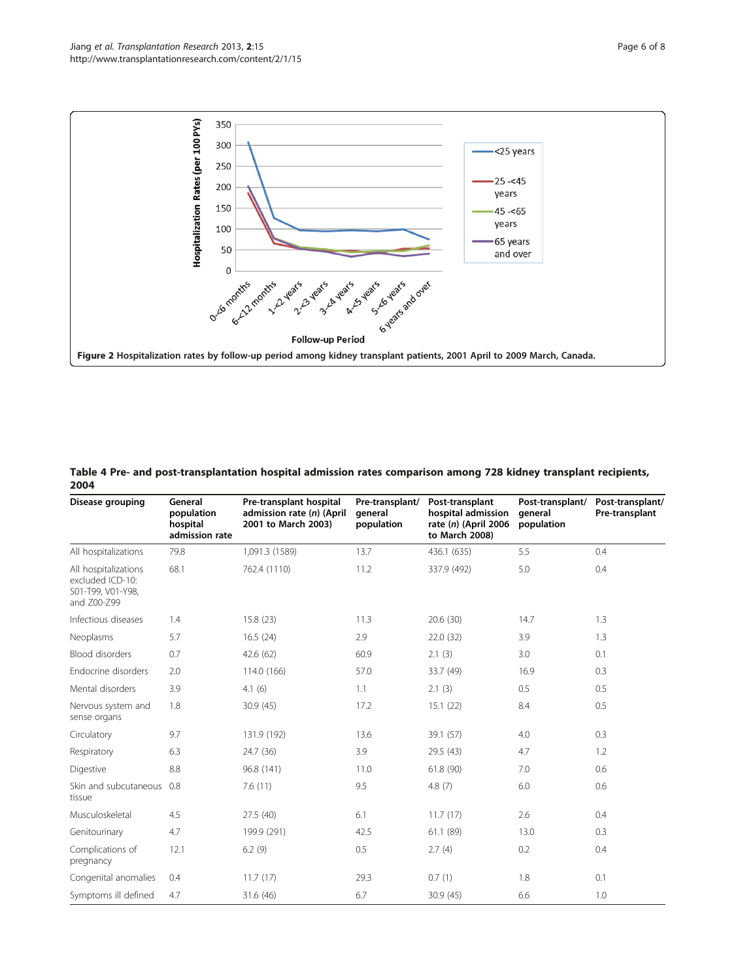<span id="page-5-0"></span>

Table 4 Pre- and post-transplantation hospital admission rates comparison among 728 kidney transplant recipients, 2004

| Disease grouping                                                             | General<br>population<br>hospital<br>admission rate | Pre-transplant hospital<br>admission rate (n) (April<br>2001 to March 2003) | Pre-transplant/<br>general<br>population | Post-transplant<br>hospital admission<br>rate $(n)$ (April 2006<br>to March 2008) | Post-transplant/<br>qeneral<br>population | Post-transplant/<br>Pre-transplant |
|------------------------------------------------------------------------------|-----------------------------------------------------|-----------------------------------------------------------------------------|------------------------------------------|-----------------------------------------------------------------------------------|-------------------------------------------|------------------------------------|
| All hospitalizations                                                         | 79.8                                                | 1,091.3 (1589)                                                              | 13.7                                     | 436.1 (635)                                                                       | 5.5                                       | 0.4                                |
| All hospitalizations<br>excluded ICD-10:<br>S01-T99, V01-Y98,<br>and Z00-Z99 | 68.1                                                | 762.4 (1110)                                                                | 11.2                                     | 337.9 (492)                                                                       | 5.0                                       | 0.4                                |
| Infectious diseases                                                          | 1.4                                                 | 15.8(23)                                                                    | 11.3                                     | 20.6(30)                                                                          | 14.7                                      | 1.3                                |
| Neoplasms                                                                    | 5.7                                                 | 16.5(24)                                                                    | 2.9                                      | 22.0(32)                                                                          | 3.9                                       | 1.3                                |
| <b>Blood disorders</b>                                                       | 0.7                                                 | 42.6(62)                                                                    | 60.9                                     | 2.1(3)                                                                            | 3.0                                       | 0.1                                |
| Endocrine disorders                                                          | 2.0                                                 | 114.0 (166)                                                                 | 57.0                                     | 33.7 (49)                                                                         | 16.9                                      | 0.3                                |
| Mental disorders                                                             | 3.9                                                 | 4.1(6)                                                                      | 1.1                                      | 2.1(3)                                                                            | 0.5                                       | 0.5                                |
| Nervous system and<br>sense organs                                           | 1.8                                                 | 30.9(45)                                                                    | 17.2                                     | 15.1(22)                                                                          | 8.4                                       | 0.5                                |
| Circulatory                                                                  | 9.7                                                 | 131.9 (192)                                                                 | 13.6                                     | 39.1 (57)                                                                         | 4.0                                       | 0.3                                |
| Respiratory                                                                  | 6.3                                                 | 24.7 (36)                                                                   | 3.9                                      | 29.5 (43)                                                                         | 4.7                                       | 1.2                                |
| Digestive                                                                    | 8.8                                                 | 96.8 (141)                                                                  | 11.0                                     | 61.8 (90)                                                                         | 7.0                                       | 0.6                                |
| Skin and subcutaneous<br>tissue                                              | 0.8                                                 | 7.6(11)                                                                     | 9.5                                      | 4.8(7)                                                                            | 6.0                                       | 0.6                                |
| Musculoskeletal                                                              | 4.5                                                 | 27.5 (40)                                                                   | 6.1                                      | 11.7(17)                                                                          | 2.6                                       | 0.4                                |
| Genitourinary                                                                | 4.7                                                 | 199.9 (291)                                                                 | 42.5                                     | 61.1 (89)                                                                         | 13.0                                      | 0.3                                |
| Complications of<br>pregnancy                                                | 12.1                                                | 6.2(9)                                                                      | 0.5                                      | 2.7(4)                                                                            | 0.2                                       | 0.4                                |
| Congenital anomalies                                                         | 0.4                                                 | 11.7(17)                                                                    | 29.3                                     | 0.7(1)                                                                            | 1.8                                       | 0.1                                |
| Symptoms ill defined                                                         | 4.7                                                 | 31.6 (46)                                                                   | 6.7                                      | 30.9(45)                                                                          | 6.6                                       | 1.0                                |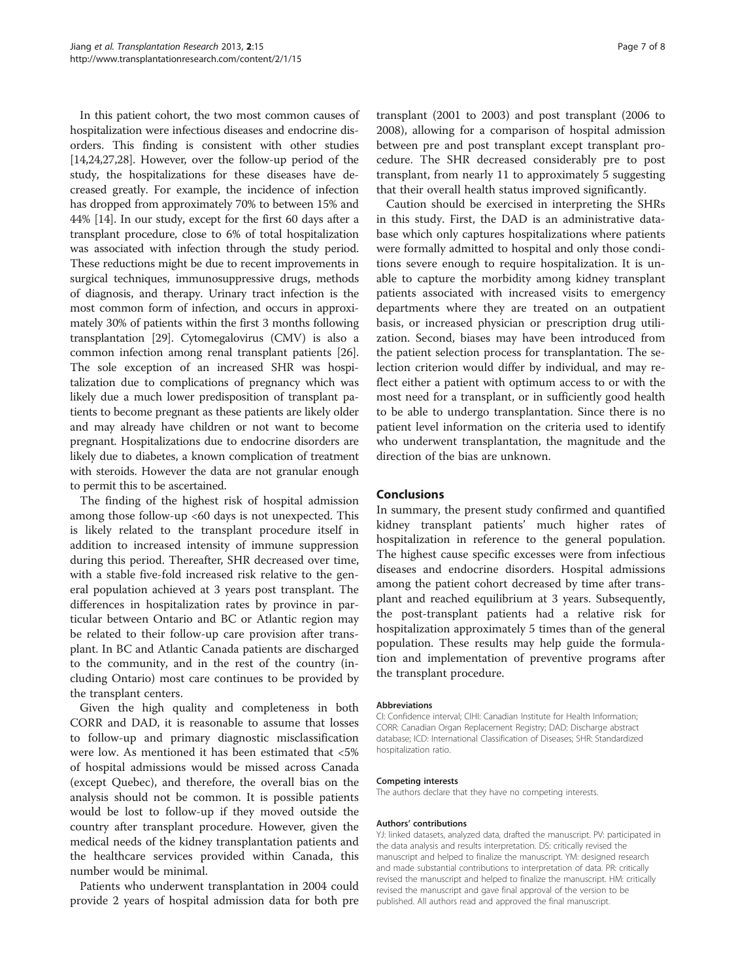In this patient cohort, the two most common causes of hospitalization were infectious diseases and endocrine disorders. This finding is consistent with other studies [[14,24,27,28](#page-7-0)]. However, over the follow-up period of the study, the hospitalizations for these diseases have decreased greatly. For example, the incidence of infection has dropped from approximately 70% to between 15% and 44% [\[14](#page-7-0)]. In our study, except for the first 60 days after a transplant procedure, close to 6% of total hospitalization was associated with infection through the study period. These reductions might be due to recent improvements in surgical techniques, immunosuppressive drugs, methods of diagnosis, and therapy. Urinary tract infection is the most common form of infection, and occurs in approximately 30% of patients within the first 3 months following transplantation [[29](#page-7-0)]. Cytomegalovirus (CMV) is also a common infection among renal transplant patients [[26](#page-7-0)]. The sole exception of an increased SHR was hospitalization due to complications of pregnancy which was likely due a much lower predisposition of transplant patients to become pregnant as these patients are likely older and may already have children or not want to become pregnant. Hospitalizations due to endocrine disorders are likely due to diabetes, a known complication of treatment with steroids. However the data are not granular enough to permit this to be ascertained.

The finding of the highest risk of hospital admission among those follow-up <60 days is not unexpected. This is likely related to the transplant procedure itself in addition to increased intensity of immune suppression during this period. Thereafter, SHR decreased over time, with a stable five-fold increased risk relative to the general population achieved at 3 years post transplant. The differences in hospitalization rates by province in particular between Ontario and BC or Atlantic region may be related to their follow-up care provision after transplant. In BC and Atlantic Canada patients are discharged to the community, and in the rest of the country (including Ontario) most care continues to be provided by the transplant centers.

Given the high quality and completeness in both CORR and DAD, it is reasonable to assume that losses to follow-up and primary diagnostic misclassification were low. As mentioned it has been estimated that <5% of hospital admissions would be missed across Canada (except Quebec), and therefore, the overall bias on the analysis should not be common. It is possible patients would be lost to follow-up if they moved outside the country after transplant procedure. However, given the medical needs of the kidney transplantation patients and the healthcare services provided within Canada, this number would be minimal.

Patients who underwent transplantation in 2004 could provide 2 years of hospital admission data for both pre transplant (2001 to 2003) and post transplant (2006 to 2008), allowing for a comparison of hospital admission between pre and post transplant except transplant procedure. The SHR decreased considerably pre to post transplant, from nearly 11 to approximately 5 suggesting that their overall health status improved significantly.

Caution should be exercised in interpreting the SHRs in this study. First, the DAD is an administrative database which only captures hospitalizations where patients were formally admitted to hospital and only those conditions severe enough to require hospitalization. It is unable to capture the morbidity among kidney transplant patients associated with increased visits to emergency departments where they are treated on an outpatient basis, or increased physician or prescription drug utilization. Second, biases may have been introduced from the patient selection process for transplantation. The selection criterion would differ by individual, and may reflect either a patient with optimum access to or with the most need for a transplant, or in sufficiently good health to be able to undergo transplantation. Since there is no patient level information on the criteria used to identify who underwent transplantation, the magnitude and the direction of the bias are unknown.

## Conclusions

In summary, the present study confirmed and quantified kidney transplant patients' much higher rates of hospitalization in reference to the general population. The highest cause specific excesses were from infectious diseases and endocrine disorders. Hospital admissions among the patient cohort decreased by time after transplant and reached equilibrium at 3 years. Subsequently, the post-transplant patients had a relative risk for hospitalization approximately 5 times than of the general population. These results may help guide the formulation and implementation of preventive programs after the transplant procedure.

#### Abbreviations

CI: Confidence interval; CIHI: Canadian Institute for Health Information; CORR: Canadian Organ Replacement Registry; DAD: Discharge abstract database; ICD: International Classification of Diseases; SHR: Standardized hospitalization ratio.

#### Competing interests

The authors declare that they have no competing interests.

#### Authors' contributions

YJ: linked datasets, analyzed data, drafted the manuscript. PV: participated in the data analysis and results interpretation. DS: critically revised the manuscript and helped to finalize the manuscript. YM: designed research and made substantial contributions to interpretation of data. PR: critically revised the manuscript and helped to finalize the manuscript. HM: critically revised the manuscript and gave final approval of the version to be published. All authors read and approved the final manuscript.